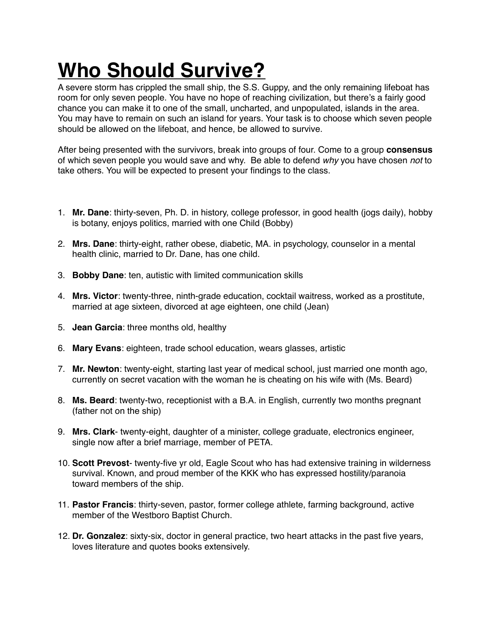## **Who Should Survive?**

A severe storm has crippled the small ship, the S.S. Guppy, and the only remaining lifeboat has room for only seven people. You have no hope of reaching civilization, but there's a fairly good chance you can make it to one of the small, uncharted, and unpopulated, islands in the area. You may have to remain on such an island for years. Your task is to choose which seven people should be allowed on the lifeboat, and hence, be allowed to survive.

After being presented with the survivors, break into groups of four. Come to a group **consensus** of which seven people you would save and why. Be able to defend *why* you have chosen *not* to take others. You will be expected to present your findings to the class.

- 1. **Mr. Dane**: thirty-seven, Ph. D. in history, college professor, in good health (jogs daily), hobby is botany, enjoys politics, married with one Child (Bobby)
- 2. **Mrs. Dane**: thirty-eight, rather obese, diabetic, MA. in psychology, counselor in a mental health clinic, married to Dr. Dane, has one child.
- 3. **Bobby Dane**: ten, autistic with limited communication skills
- 4. **Mrs. Victor**: twenty-three, ninth-grade education, cocktail waitress, worked as a prostitute, married at age sixteen, divorced at age eighteen, one child (Jean)
- 5. **Jean Garcia**: three months old, healthy
- 6. **Mary Evans**: eighteen, trade school education, wears glasses, artistic
- 7. **Mr. Newton**: twenty-eight, starting last year of medical school, just married one month ago, currently on secret vacation with the woman he is cheating on his wife with (Ms. Beard)
- 8. **Ms. Beard**: twenty-two, receptionist with a B.A. in English, currently two months pregnant (father not on the ship)
- 9. **Mrs. Clark** twenty-eight, daughter of a minister, college graduate, electronics engineer, single now after a brief marriage, member of PETA.
- 10. **Scott Prevost** twenty-five yr old, Eagle Scout who has had extensive training in wilderness survival. Known, and proud member of the KKK who has expressed hostility/paranoia toward members of the ship.
- 11. **Pastor Francis**: thirty-seven, pastor, former college athlete, farming background, active member of the Westboro Baptist Church.
- 12. **Dr. Gonzalez**: sixty-six, doctor in general practice, two heart attacks in the past five years, loves literature and quotes books extensively.